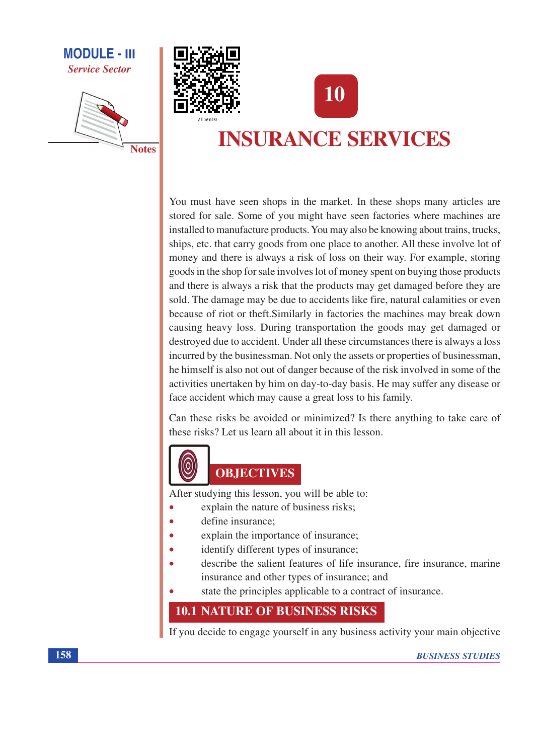







# **INSURANCE SERVICES**

You must have seen shops in the market. In these shops many articles are stored for sale. Some of you might have seen factories where machines are installed to manufacture products. You may also be knowing about trains, trucks, ships, etc. that carry goods from one place to another. All these involve lot of money and there is always a risk of loss on their way. For example, storing goods in the shop for sale involves lot of money spent on buying those products and there is always a risk that the products may get damaged before they are sold. The damage may be due to accidents like fire, natural calamities or even because of riot or theft. Similarly in factories the machines may break down causing heavy loss. During transportation the goods may get damaged or destroyed due to accident. Under all these circumstances there is always a loss incurred by the businessman. Not only the assets or properties of businessman, he himself is also not out of danger because of the risk involved in some of the activities unertaken by him on day-to-day basis. He may suffer any disease or face accident which may cause a great loss to his family.

Can these risks be avoided or minimized? Is there anything to take care of these risks? Let us learn all about it in this lesson.



After studying this lesson, you will be able to:

- explain the nature of business risks;  $\bullet$
- define insurance:
- explain the importance of insurance;
- identify different types of insurance;
- describe the salient features of life insurance, fire insurance, marine insurance and other types of insurance; and
- state the principles applicable to a contract of insurance.

# **10.1 NATURE OF BUSINESS RISKS**

If you decide to engage yourself in any business activity your main objective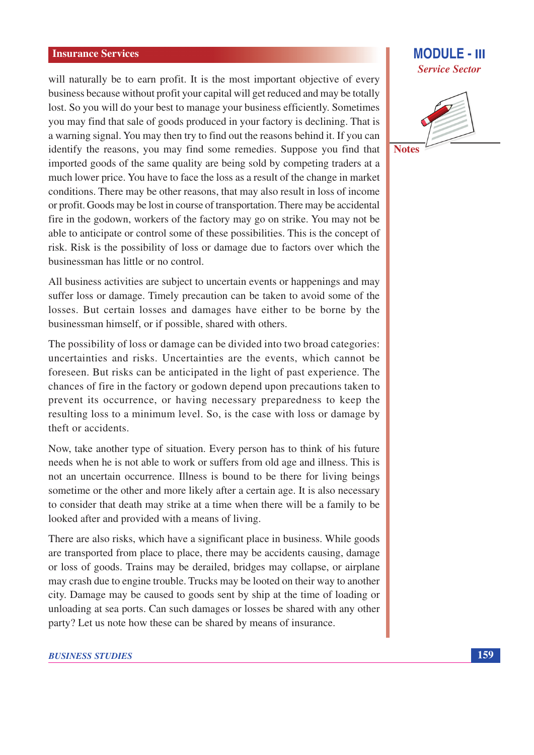## **Insurance Services**

will naturally be to earn profit. It is the most important objective of every business because without profit your capital will get reduced and may be totally lost. So you will do your best to manage your business efficiently. Sometimes you may find that sale of goods produced in your factory is declining. That is a warning signal. You may then try to find out the reasons behind it. If you can identify the reasons, you may find some remedies. Suppose you find that imported goods of the same quality are being sold by competing traders at a much lower price. You have to face the loss as a result of the change in market conditions. There may be other reasons, that may also result in loss of income or profit. Goods may be lost in course of transportation. There may be accidental fire in the godown, workers of the factory may go on strike. You may not be able to anticipate or control some of these possibilities. This is the concept of risk. Risk is the possibility of loss or damage due to factors over which the businessman has little or no control.

All business activities are subject to uncertain events or happenings and may suffer loss or damage. Timely precaution can be taken to avoid some of the losses. But certain losses and damages have either to be borne by the businessman himself, or if possible, shared with others.

The possibility of loss or damage can be divided into two broad categories: uncertainties and risks. Uncertainties are the events, which cannot be foreseen. But risks can be anticipated in the light of past experience. The chances of fire in the factory or godown depend upon precautions taken to prevent its occurrence, or having necessary preparedness to keep the resulting loss to a minimum level. So, is the case with loss or damage by theft or accidents.

Now, take another type of situation. Every person has to think of his future needs when he is not able to work or suffers from old age and illness. This is not an uncertain occurrence. Illness is bound to be there for living beings sometime or the other and more likely after a certain age. It is also necessary to consider that death may strike at a time when there will be a family to be looked after and provided with a means of living.

There are also risks, which have a significant place in business. While goods are transported from place to place, there may be accidents causing, damage or loss of goods. Trains may be derailed, bridges may collapse, or airplane may crash due to engine trouble. Trucks may be looted on their way to another city. Damage may be caused to goods sent by ship at the time of loading or unloading at sea ports. Can such damages or losses be shared with any other party? Let us note how these can be shared by means of insurance.

## **BUSINESS STUDIES**

# **MODULE - III Service Sector**

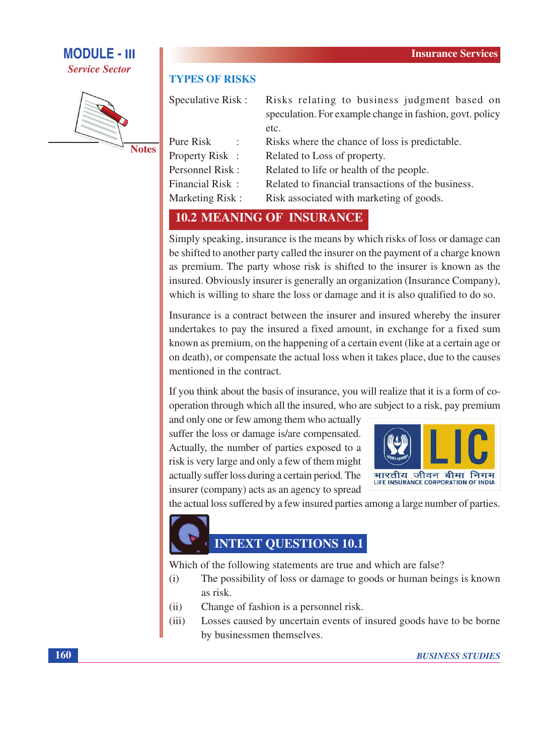# **MODULE - III Service Sector**



**Notes** 

## **TYPES OF RISKS**

| Speculative Risk:      | Risks relating to business judgment based on             |  |  |  |
|------------------------|----------------------------------------------------------|--|--|--|
|                        | speculation. For example change in fashion, govt. policy |  |  |  |
|                        | etc.                                                     |  |  |  |
| Pure Risk              | Risks where the chance of loss is predictable.           |  |  |  |
| <b>Property Risk:</b>  | Related to Loss of property.                             |  |  |  |
| Personnel Risk:        | Related to life or health of the people.                 |  |  |  |
| Financial Risk:        | Related to financial transactions of the business.       |  |  |  |
| <b>Marketing Risk:</b> | Risk associated with marketing of goods.                 |  |  |  |

# **10.2 MEANING OF INSURANCE**

Simply speaking, insurance is the means by which risks of loss or damage can be shifted to another party called the insurer on the payment of a charge known as premium. The party whose risk is shifted to the insurer is known as the insured. Obviously insurer is generally an organization (Insurance Company), which is willing to share the loss or damage and it is also qualified to do so.

Insurance is a contract between the insurer and insured whereby the insurer undertakes to pay the insured a fixed amount, in exchange for a fixed sum known as premium, on the happening of a certain event (like at a certain age or on death), or compensate the actual loss when it takes place, due to the causes mentioned in the contract.

If you think about the basis of insurance, you will realize that it is a form of cooperation through which all the insured, who are subject to a risk, pay premium

and only one or few among them who actually suffer the loss or damage is/are compensated. Actually, the number of parties exposed to a risk is very large and only a few of them might actually suffer loss during a certain period. The insurer (company) acts as an agency to spread



the actual loss suffered by a few insured parties among a large number of parties.

# **INTEXT QUESTIONS 10.1**

Which of the following statements are true and which are false?

- The possibility of loss or damage to goods or human beings is known  $(i)$ as risk.
- Change of fashion is a personnel risk.  $(ii)$
- Losses caused by uncertain events of insured goods have to be borne  $(iii)$ by businessmen themselves.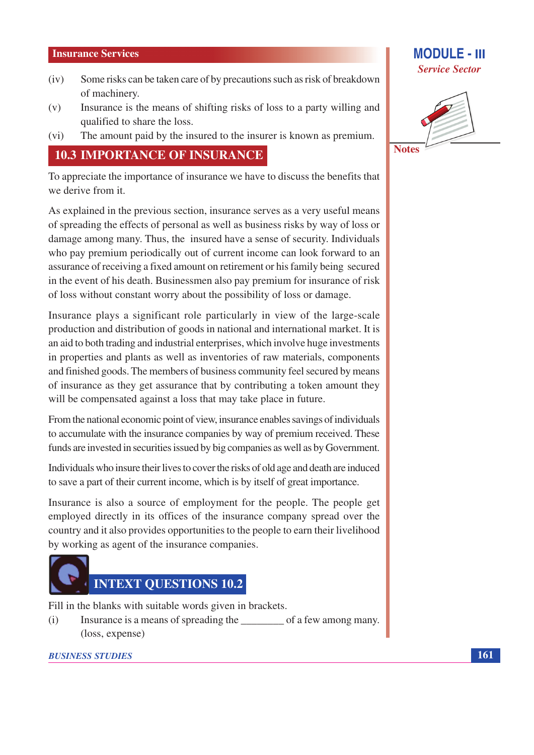## **Insurance Services**

- Some risks can be taken care of by precautions such as risk of breakdown  $(iv)$ of machinery.
- Insurance is the means of shifting risks of loss to a party willing and  $(v)$ qualified to share the loss.
- The amount paid by the insured to the insurer is known as premium.  $(vi)$

## **10.3 IMPORTANCE OF INSURANCE**

To appreciate the importance of insurance we have to discuss the benefits that we derive from it.

As explained in the previous section, insurance serves as a very useful means of spreading the effects of personal as well as business risks by way of loss or damage among many. Thus, the insured have a sense of security. Individuals who pay premium periodically out of current income can look forward to an assurance of receiving a fixed amount on retirement or his family being secured in the event of his death. Businessmen also pay premium for insurance of risk of loss without constant worry about the possibility of loss or damage.

Insurance plays a significant role particularly in view of the large-scale production and distribution of goods in national and international market. It is an aid to both trading and industrial enterprises, which involve huge investments in properties and plants as well as inventories of raw materials, components and finished goods. The members of business community feel secured by means of insurance as they get assurance that by contributing a token amount they will be compensated against a loss that may take place in future.

From the national economic point of view, insurance enables savings of individuals to accumulate with the insurance companies by way of premium received. These funds are invested in securities issued by big companies as well as by Government.

Individuals who insure their lives to cover the risks of old age and death are induced to save a part of their current income, which is by itself of great importance.

Insurance is also a source of employment for the people. The people get employed directly in its offices of the insurance company spread over the country and it also provides opportunities to the people to earn their livelihood by working as agent of the insurance companies.



Fill in the blanks with suitable words given in brackets.

 $(i)$ (loss, expense)

## **BUSINESS STUDIES**

## **MODULE - III Service Sector**

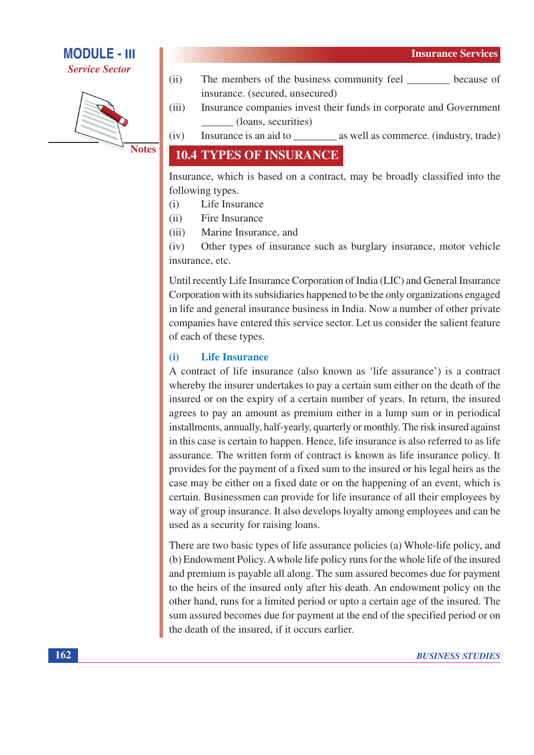# **MODULE - III**

**Service Sector** 



**Notes** 

- $(ii)$ The members of the business community feel because of insurance. (secured, unsecured)
- Insurance companies invest their funds in corporate and Government  $(iii)$ (loans, securities)
- $(iv)$ Insurance is an aid to \_\_\_\_\_\_\_\_\_\_\_\_ as well as commerce. (industry, trade)

# **10.4 TYPES OF INSURANCE**

Insurance, which is based on a contract, may be broadly classified into the following types.

- Life Insurance  $(i)$
- $(ii)$ Fire Insurance
- $(iii)$ Marine Insurance, and

Other types of insurance such as burglary insurance, motor vehicle  $(iv)$ insurance, etc.

Until recently Life Insurance Corporation of India (LIC) and General Insurance Corporation with its subsidiaries happened to be the only organizations engaged in life and general insurance business in India. Now a number of other private companies have entered this service sector. Let us consider the salient feature of each of these types.

### **Life Insurance**  $(i)$

A contract of life insurance (also known as 'life assurance') is a contract whereby the insurer undertakes to pay a certain sum either on the death of the insured or on the expiry of a certain number of years. In return, the insured agrees to pay an amount as premium either in a lump sum or in periodical installments, annually, half-yearly, quarterly or monthly. The risk insured against in this case is certain to happen. Hence, life insurance is also referred to as life assurance. The written form of contract is known as life insurance policy. It provides for the payment of a fixed sum to the insured or his legal heirs as the case may be either on a fixed date or on the happening of an event, which is certain. Businessmen can provide for life insurance of all their employees by way of group insurance. It also develops loyalty among employees and can be used as a security for raising loans.

There are two basic types of life assurance policies (a) Whole-life policy, and (b) Endowment Policy. A whole life policy runs for the whole life of the insured and premium is payable all along. The sum assured becomes due for payment to the heirs of the insured only after his death. An endowment policy on the other hand, runs for a limited period or upto a certain age of the insured. The sum assured becomes due for payment at the end of the specified period or on the death of the insured, if it occurs earlier.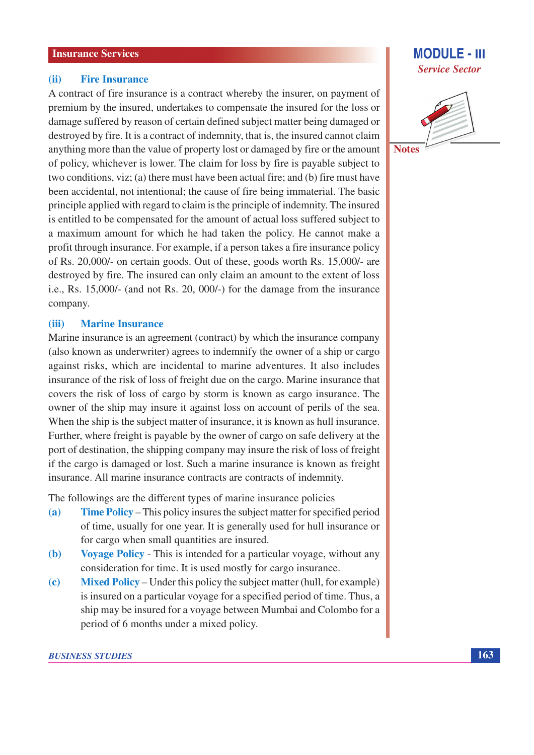#### **Fire Insurance**  $(ii)$

A contract of fire insurance is a contract whereby the insurer, on payment of premium by the insured, undertakes to compensate the insured for the loss or damage suffered by reason of certain defined subject matter being damaged or destroyed by fire. It is a contract of indemnity, that is, the insured cannot claim anything more than the value of property lost or damaged by fire or the amount of policy, whichever is lower. The claim for loss by fire is payable subject to two conditions, viz; (a) there must have been actual fire; and (b) fire must have been accidental, not intentional; the cause of fire being immaterial. The basic principle applied with regard to claim is the principle of indemnity. The insured is entitled to be compensated for the amount of actual loss suffered subject to a maximum amount for which he had taken the policy. He cannot make a profit through insurance. For example, if a person takes a fire insurance policy of Rs. 20,000/- on certain goods. Out of these, goods worth Rs. 15,000/- are destroyed by fire. The insured can only claim an amount to the extent of loss i.e., Rs.  $15,000/$ - (and not Rs. 20, 000 $/$ -) for the damage from the insurance company.

#### **Marine Insurance**  $(iii)$

Marine insurance is an agreement (contract) by which the insurance company (also known as underwriter) agrees to indemnify the owner of a ship or cargo against risks, which are incidental to marine adventures. It also includes insurance of the risk of loss of freight due on the cargo. Marine insurance that covers the risk of loss of cargo by storm is known as cargo insurance. The owner of the ship may insure it against loss on account of perils of the sea. When the ship is the subject matter of insurance, it is known as hull insurance. Further, where freight is payable by the owner of cargo on safe delivery at the port of destination, the shipping company may insure the risk of loss of freight if the cargo is damaged or lost. Such a marine insurance is known as freight insurance. All marine insurance contracts are contracts of indemnity.

The followings are the different types of marine insurance policies

- **Time Policy** This policy insures the subject matter for specified period  $(a)$ of time, usually for one year. It is generally used for hull insurance or for cargo when small quantities are insured.
- Voyage Policy This is intended for a particular voyage, without any  $(b)$ consideration for time. It is used mostly for cargo insurance.
- **Mixed Policy** Under this policy the subject matter (hull, for example)  $(c)$ is insured on a particular voyage for a specified period of time. Thus, a ship may be insured for a voyage between Mumbai and Colombo for a period of 6 months under a mixed policy.

# **MODULE - III Service Sector**



**Notes**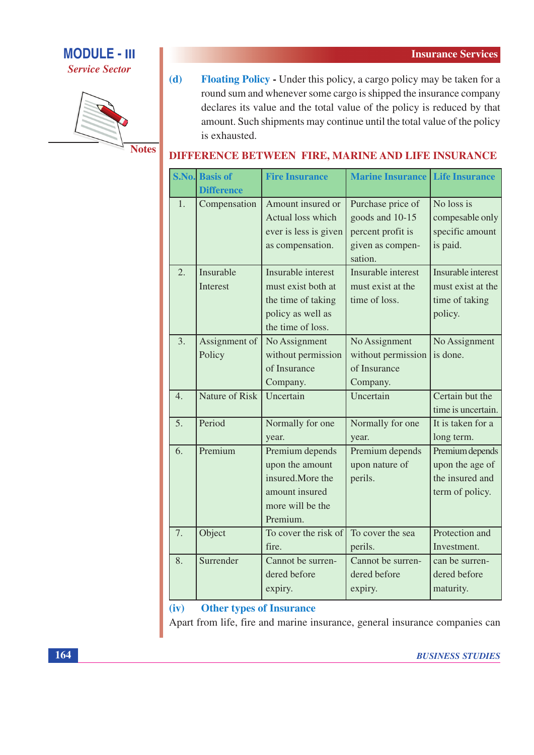

**Service Sector** 



 $(d)$ **Floating Policy - Under this policy, a cargo policy may be taken for a** round sum and whenever some cargo is shipped the insurance company declares its value and the total value of the policy is reduced by that amount. Such shipments may continue until the total value of the policy is exhausted.

# **DIFFERENCE BETWEEN FIRE, MARINE AND LIFE INSURANCE**

|                  | <b>S.No.</b> Basis of<br><b>Difference</b> | <b>Fire Insurance</b> | <b>Marine Insurance</b> | <b>Life Insurance</b> |
|------------------|--------------------------------------------|-----------------------|-------------------------|-----------------------|
| 1.               | Compensation                               | Amount insured or     | Purchase price of       | No loss is            |
|                  |                                            | Actual loss which     | goods and 10-15         | compesable only       |
|                  |                                            | ever is less is given | percent profit is       | specific amount       |
|                  |                                            | as compensation.      | given as compen-        | is paid.              |
|                  |                                            |                       | sation.                 |                       |
| 2.               | Insurable                                  | Insurable interest    | Insurable interest      | Insurable interest    |
|                  | Interest                                   | must exist both at    | must exist at the       | must exist at the     |
|                  |                                            | the time of taking    | time of loss.           | time of taking        |
|                  |                                            | policy as well as     |                         | policy.               |
|                  |                                            | the time of loss.     |                         |                       |
| 3.               | Assignment of                              | No Assignment         | No Assignment           | No Assignment         |
|                  | Policy                                     | without permission    | without permission      | is done.              |
|                  |                                            | of Insurance          | of Insurance            |                       |
|                  |                                            | Company.              | Company.                |                       |
| $\overline{4}$ . | <b>Nature of Risk</b>                      | Uncertain             | Uncertain               | Certain but the       |
|                  |                                            |                       |                         | time is uncertain.    |
| 5.               | Period                                     | Normally for one      | Normally for one        | It is taken for a     |
|                  |                                            | year.                 | year.                   | long term.            |
| 6.               | Premium                                    | Premium depends       | Premium depends         | Premium depends       |
|                  |                                            | upon the amount       | upon nature of          | upon the age of       |
|                  |                                            | insured.More the      | perils.                 | the insured and       |
|                  |                                            | amount insured        |                         | term of policy.       |
|                  |                                            | more will be the      |                         |                       |
|                  |                                            | Premium.              |                         |                       |
| 7.               | Object                                     | To cover the risk of  | To cover the sea        | Protection and        |
|                  |                                            | fire.                 | perils.                 | Investment.           |
| 8.               | Surrender                                  | Cannot be surren-     | Cannot be surren-       | can be surren-        |
|                  |                                            | dered before          | dered before            | dered before          |
|                  |                                            | expiry.               | expiry.                 | maturity.             |

**Other types of Insurance**  $(iv)$ 

Apart from life, fire and marine insurance, general insurance companies can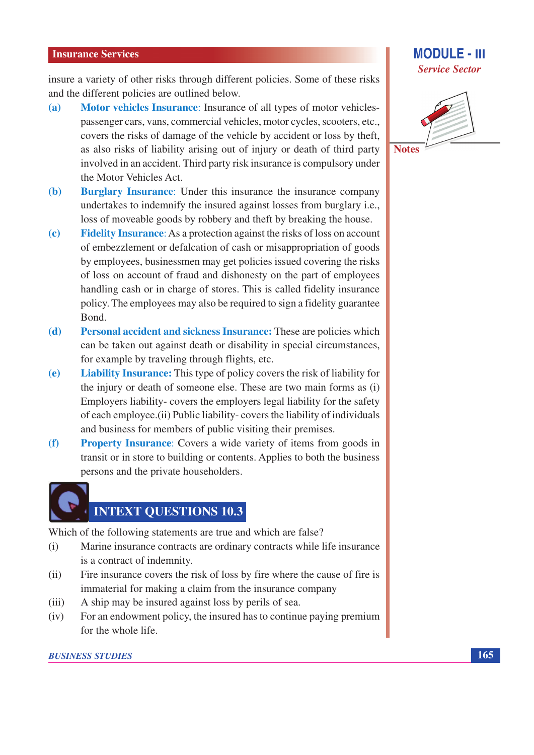insure a variety of other risks through different policies. Some of these risks and the different policies are outlined below.

- **Motor vehicles Insurance:** Insurance of all types of motor vehicles- $(a)$ passenger cars, vans, commercial vehicles, motor cycles, scooters, etc., covers the risks of damage of the vehicle by accident or loss by theft, as also risks of liability arising out of injury or death of third party involved in an accident. Third party risk insurance is compulsory under the Motor Vehicles Act.
- **Burglary Insurance:** Under this insurance the insurance company  $(b)$ undertakes to indemnify the insured against losses from burglary i.e., loss of moveable goods by robbery and theft by breaking the house.
- **Fidelity Insurance:** As a protection against the risks of loss on account  $\left( \mathbf{c} \right)$ of embezzlement or defalcation of cash or misappropriation of goods by employees, businessmen may get policies issued covering the risks of loss on account of fraud and dishonesty on the part of employees handling cash or in charge of stores. This is called fidelity insurance policy. The employees may also be required to sign a fidelity guarantee Bond.
- Personal accident and sickness Insurance: These are policies which  $(d)$ can be taken out against death or disability in special circumstances, for example by traveling through flights, etc.
- **Liability Insurance:** This type of policy covers the risk of liability for  $(e)$ the injury or death of someone else. These are two main forms as (i) Employers liability-covers the employers legal liability for the safety of each employee. (ii) Public liability-covers the liability of individuals and business for members of public visiting their premises.
- **Property Insurance:** Covers a wide variety of items from goods in  $(f)$ transit or in store to building or contents. Applies to both the business persons and the private householders.

# **INTEXT QUESTIONS 10.3**

Which of the following statements are true and which are false?

- Marine insurance contracts are ordinary contracts while life insurance  $(i)$ is a contract of indemnity.
- Fire insurance covers the risk of loss by fire where the cause of fire is  $(ii)$ immaterial for making a claim from the insurance company
- $(iii)$ A ship may be insured against loss by perils of sea.
- For an endowment policy, the insured has to continue paying premium  $(iv)$ for the whole life.

## **BUSINESS STUDIES**

## **MODULE - III Service Sector**



**Notes**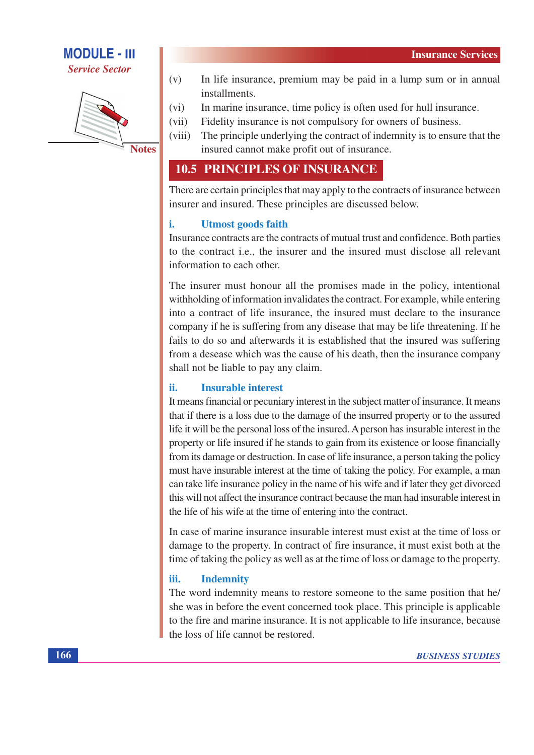



- $(v)$ In life insurance, premium may be paid in a lump sum or in annual installments.
- $(vi)$ In marine insurance, time policy is often used for hull insurance.
- Fidelity insurance is not compulsory for owners of business.  $(vii)$
- The principle underlying the contract of indemnity is to ensure that the  $(viii)$ insured cannot make profit out of insurance.

# **10.5 PRINCIPLES OF INSURANCE**

There are certain principles that may apply to the contracts of insurance between insurer and insured. These principles are discussed below.

### i. **Utmost goods faith**

Insurance contracts are the contracts of mutual trust and confidence. Both parties to the contract i.e., the insurer and the insured must disclose all relevant information to each other.

The insurer must honour all the promises made in the policy, intentional withholding of information invalidates the contract. For example, while entering into a contract of life insurance, the insured must declare to the insurance company if he is suffering from any disease that may be life threatening. If he fails to do so and afterwards it is established that the insured was suffering from a desease which was the cause of his death, then the insurance company shall not be liable to pay any claim.

### **Insurable interest** ii.

It means financial or pecuniary interest in the subject matter of insurance. It means that if there is a loss due to the damage of the insurred property or to the assured life it will be the personal loss of the insured. A person has insurable interest in the property or life insured if he stands to gain from its existence or loose financially from its damage or destruction. In case of life insurance, a person taking the policy must have insurable interest at the time of taking the policy. For example, a man can take life insurance policy in the name of his wife and if later they get divorced this will not affect the insurance contract because the man had insurable interest in the life of his wife at the time of entering into the contract.

In case of marine insurance insurable interest must exist at the time of loss or damage to the property. In contract of fire insurance, it must exist both at the time of taking the policy as well as at the time of loss or damage to the property.

### iii. **Indemnity**

The word indemnity means to restore someone to the same position that he/ she was in before the event concerned took place. This principle is applicable to the fire and marine insurance. It is not applicable to life insurance, because the loss of life cannot be restored.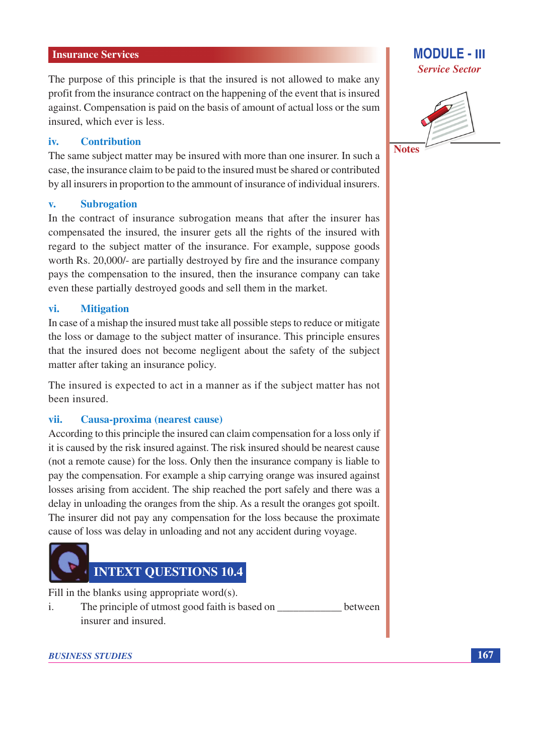## **Insurance Services**

The purpose of this principle is that the insured is not allowed to make any profit from the insurance contract on the happening of the event that is insured against. Compensation is paid on the basis of amount of actual loss or the sum insured, which ever is less.

### iv. **Contribution**

The same subject matter may be insured with more than one insurer. In such a case, the insurance claim to be paid to the insured must be shared or contributed by all insurers in proportion to the ammount of insurance of individual insurers.

#### **Subrogation**  $\overline{\mathbf{v}}$ .

In the contract of insurance subrogation means that after the insurer has compensated the insured, the insurer gets all the rights of the insured with regard to the subject matter of the insurance. For example, suppose goods worth Rs. 20,000/- are partially destroyed by fire and the insurance company pays the compensation to the insured, then the insurance company can take even these partially destroyed goods and sell them in the market.

### vi. **Mitigation**

In case of a mishap the insured must take all possible steps to reduce or mitigate the loss or damage to the subject matter of insurance. This principle ensures that the insured does not become negligent about the safety of the subject matter after taking an insurance policy.

The insured is expected to act in a manner as if the subject matter has not been insured.

#### vii. Causa-proxima (nearest cause)

According to this principle the insured can claim compensation for a loss only if it is caused by the risk insured against. The risk insured should be nearest cause (not a remote cause) for the loss. Only then the insurance company is liable to pay the compensation. For example a ship carrying orange was insured against losses arising from accident. The ship reached the port safely and there was a delay in unloading the oranges from the ship. As a result the oranges got spoilt. The insurer did not pay any compensation for the loss because the proximate cause of loss was delay in unloading and not any accident during voyage.



Fill in the blanks using appropriate word(s).

The principle of utmost good faith is based on \_\_\_\_\_\_\_\_\_\_\_\_\_\_\_ between  $\mathbf{i}$ . insurer and insured.



## **MODULE - III Service Sector**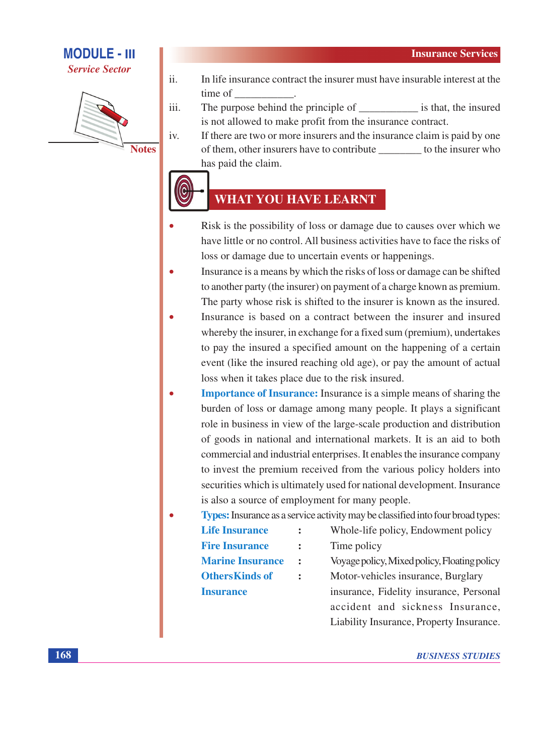# **MODULE - III**

**Service Sector** 



iv.

- $ii.$ In life insurance contract the insurer must have insurable interest at the time of
- iii. is not allowed to make profit from the insurance contract.
	- If there are two or more insurers and the insurance claim is paid by one of them, other insurers have to contribute \_\_\_\_\_\_\_\_\_ to the insurer who has paid the claim.

# **WHAT YOU HAVE LEARNT**

- Risk is the possibility of loss or damage due to causes over which we have little or no control. All business activities have to face the risks of loss or damage due to uncertain events or happenings.
- Insurance is a means by which the risks of loss or damage can be shifted to another party (the insurer) on payment of a charge known as premium. The party whose risk is shifted to the insurer is known as the insured.
- Insurance is based on a contract between the insurer and insured whereby the insurer, in exchange for a fixed sum (premium), undertakes to pay the insured a specified amount on the happening of a certain event (like the insured reaching old age), or pay the amount of actual loss when it takes place due to the risk insured.
- **Importance of Insurance:** Insurance is a simple means of sharing the burden of loss or damage among many people. It plays a significant role in business in view of the large-scale production and distribution of goods in national and international markets. It is an aid to both commercial and industrial enterprises. It enables the insurance company to invest the premium received from the various policy holders into securities which is ultimately used for national development. Insurance is also a source of employment for many people.

## **Types:** Insurance as a service activity may be classified into four broad types:

| <b>Life Insurance</b>   | $\ddot{\cdot}$ | Whole-life policy, Endowment policy          |  |  |
|-------------------------|----------------|----------------------------------------------|--|--|
| <b>Fire Insurance</b>   | $\ddot{\cdot}$ | Time policy                                  |  |  |
| <b>Marine Insurance</b> | $\mathbf{r}$   | Voyage policy, Mixed policy, Floating policy |  |  |
| <b>OthersKinds of</b>   | $\ddot{\cdot}$ | Motor-vehicles insurance, Burglary           |  |  |
| <b>Insurance</b>        |                | insurance, Fidelity insurance, Personal      |  |  |
|                         |                | accident and sickness Insurance,             |  |  |

Liability Insurance, Property Insurance.